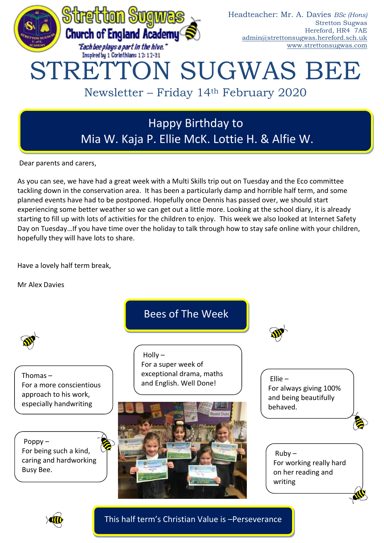

# Happy Birthday to Mia W. Kaja P. Ellie McK. Lottie H. & Alfie W.

Dear parents and carers,

As you can see, we have had a great week with a Multi Skills trip out on Tuesday and the Eco committee tackling down in the conservation area. It has been a particularly damp and horrible half term, and some planned events have had to be postponed. Hopefully once Dennis has passed over, we should start experiencing some better weather so we can get out a little more. Looking at the school diary, it is already starting to fill up with lots of activities for the children to enjoy. This week we also looked at Internet Safety Day on Tuesday…If you have time over the holiday to talk through how to stay safe online with your children, hopefully they will have lots to share.

Have a lovely half term break,

Mr Alex Davies





This half term's Christian Value is –Perseverance